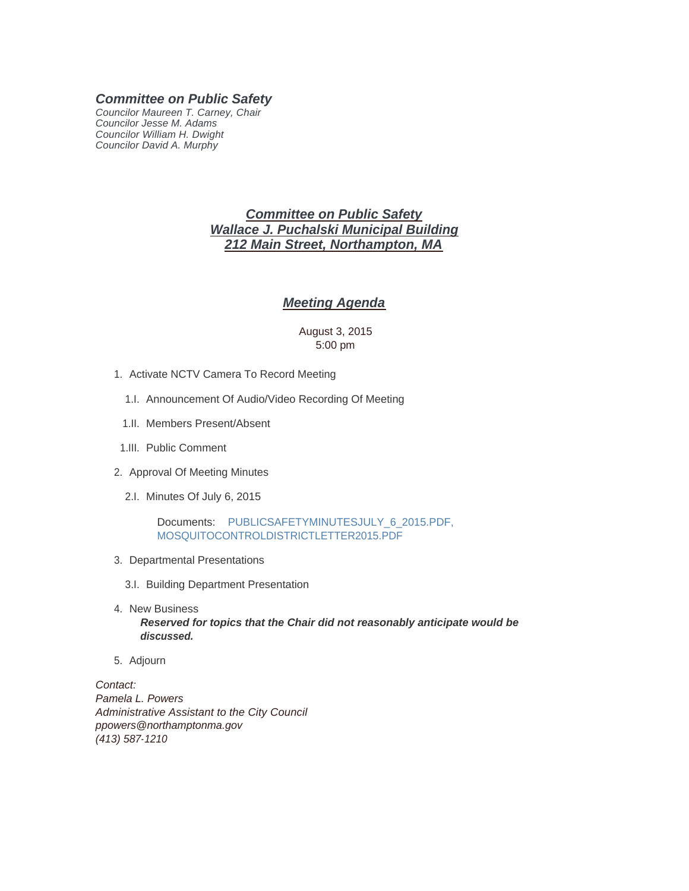## *Committee on Public Safety*

*Councilor Maureen T. Carney, Chair Councilor Jesse M. Adams Councilor William H. Dwight Councilor David A. Murphy*

# *Committee on Public Safety Wallace J. Puchalski Municipal Building 212 Main Street, Northampton, MA*

## *Meeting Agenda*

### August 3, 2015 5:00 pm

- 1. Activate NCTV Camera To Record Meeting
	- 1.I. Announcement Of Audio/Video Recording Of Meeting
	- 1.II. Members Present/Absent
- 1.III. Public Comment
- 2. Approval Of Meeting Minutes
	- 2.I. Minutes Of July 6, 2015

Documents: PUBLICSAFETYMINUTESJULY\_6\_2015.PDF, MOSQUITOCONTROLDISTRICTLETTER2015.PDF

- 3. Departmental Presentations
	- 3.I. Building Department Presentation
- 4. New Business

*Reserved for topics that the Chair did not reasonably anticipate would be discussed.*

5. Adjourn

*Contact: Pamela L. Powers Administrative Assistant to the City Council ppowers@northamptonma.gov (413) 587-1210*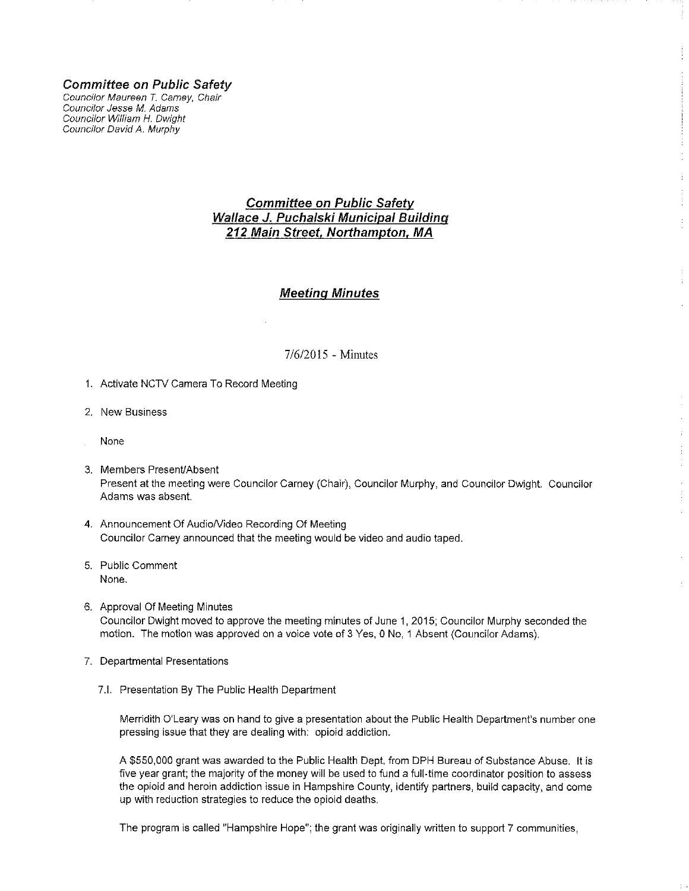**Committee on Public Safety** 

Councilor Maureen T. Carney, Chair Councilor Jesse M. Adams Councilor William H. Dwight Councilor David A. Murphy

# **Committee on Public Safety** Wallace J. Puchalski Municipal Building 212 Main Street, Northampton, MA

## **Meeting Minutes**

### 7/6/2015 - Minutes

- 1. Activate NCTV Camera To Record Meeting
- 2. New Business
- None
- 3. Members Present/Absent Present at the meeting were Councilor Carney (Chair), Councilor Murphy, and Councilor Dwight. Councilor Adams was absent.

 $\frac{1}{4}$ 

 $\frac{1}{4}$ 

- 4. Announcement Of Audio/Video Recording Of Meeting Councilor Carney announced that the meeting would be video and audio taped.
- 5. Public Comment None.
- 6. Approval Of Meeting Minutes Councilor Dwight moved to approve the meeting minutes of June 1, 2015; Councilor Murphy seconded the motion. The motion was approved on a voice vote of 3 Yes, 0 No, 1 Absent (Councilor Adams).
- 7. Departmental Presentations
	- 7.I. Presentation By The Public Health Department

Merridith O'Leary was on hand to give a presentation about the Public Health Department's number one pressing issue that they are dealing with: opioid addiction.

A \$550,000 grant was awarded to the Public Health Dept, from DPH Bureau of Substance Abuse. It is five year grant; the majority of the money will be used to fund a full-time coordinator position to assess the opioid and heroin addiction issue in Hampshire County, identify partners, build capacity, and come up with reduction strategies to reduce the opioid deaths.

The program is called "Hampshire Hope"; the grant was originally written to support 7 communities,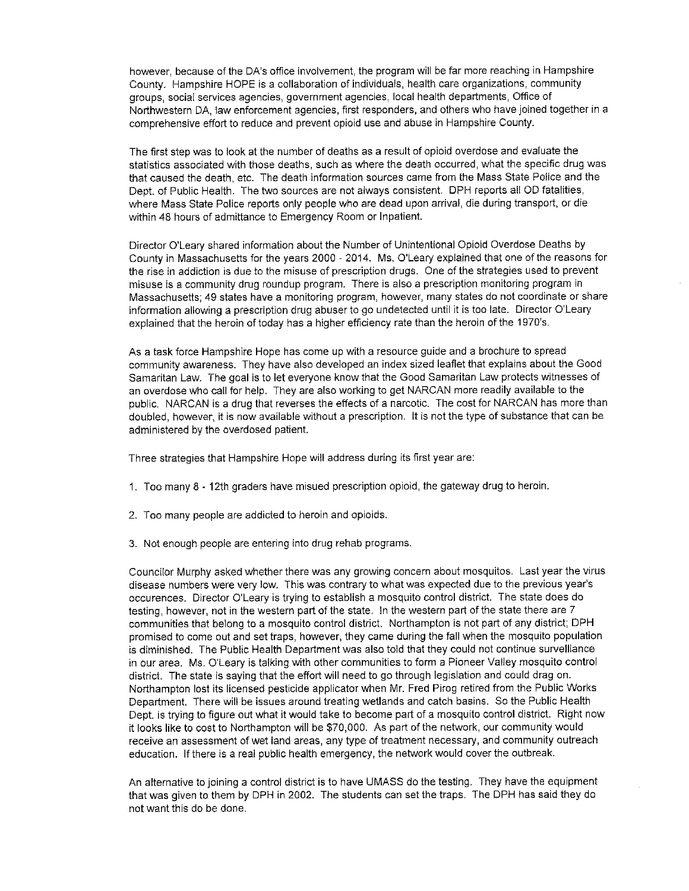however, because of the DA's office involvement, the program will be far more reaching in Hampshire County. Hampshire HOPE is a collaboration of individuals, health care organizations, community groups, social services agencies, government agencies, local health departments, Office of Northwestern DA, law enforcement agencies, first responders, and others who have joined together in a comprehensive effort to reduce and prevent opioid use and abuse in Hampshire County.

The first step was to look at the number of deaths as a result of opioid overdose and evaluate the statistics associated with those deaths, such as where the death occurred, what the specific drug was that caused the death, etc. The death information sources came from the Mass State Police and the Dept. of Public Health. The two sources are not always consistent. DPH reports all OD fatalities, where Mass State Police reports only people who are dead upon arrival, die during transport, or die within 48 hours of admittance to Emergency Room or Inpatient.

Director O'Leary shared information about the Number of Unintentional Opioid Overdose Deaths by County in Massachusetts for the years 2000 - 2014. Ms. O'Leary explained that one of the reasons for the rise in addiction is due to the misuse of prescription drugs. One of the strategies used to prevent misuse is a community drug roundup program. There is also a prescription monitoring program in Massachusetts; 49 states have a monitoring program, however, many states do not coordinate or share information allowing a prescription drug abuser to go undetected until it is too late. Director O'Leary explained that the heroin of today has a higher efficiency rate than the heroin of the 1970's.

As a task force Hampshire Hope has come up with a resource guide and a brochure to spread community awareness. They have also developed an index sized leaflet that explains about the Good Samaritan Law. The goal is to let everyone know that the Good Samaritan Law protects witnesses of an overdose who call for help. They are also working to get NARCAN more readily available to the public. NARCAN is a drug that reverses the effects of a narcotic. The cost for NARCAN has more than doubled, however, it is now available without a prescription. It is not the type of substance that can be administered by the overdosed patient.

Three strategies that Hampshire Hope will address during its first year are:

- 1. Too many 8 12th graders have misued prescription opioid, the gateway drug to heroin.
- 2. Too many people are addicted to heroin and opioids.
- 3. Not enough people are entering into drug rehab programs.

Councilor Murphy asked whether there was any growing concern about mosquitos. Last year the virus disease numbers were very low. This was contrary to what was expected due to the previous year's occurences. Director O'Leary is trying to establish a mosquito control district. The state does do testing, however, not in the western part of the state. In the western part of the state there are 7 communities that belong to a mosquito control district. Northampton is not part of any district; DPH promised to come out and set traps, however, they came during the fall when the mosquito population is diminished. The Public Health Department was also told that they could not continue survelliance in our area. Ms. O'Leary is talking with other communities to form a Pioneer Valley mosquito control district. The state is saying that the effort will need to go through legislation and could drag on. Northampton lost its licensed pesticide applicator when Mr. Fred Pirog retired from the Public Works Department. There will be issues around treating wetlands and catch basins. So the Public Health Dept, is trying to figure out what it would take to become part of a mosquito control district. Right now it looks like to cost to Northampton will be \$70,000. As part of the network, our community would receive an assessment of wet land areas, any type of treatment necessary, and community outreach education. If there is a real public health emergency, the network would cover the outbreak.

An alternative to joining a control district is to have UMASS do the testing. They have the equipment that was given to them by DPH in 2002. The students can set the traps. The DPH has said they do not want this do be done.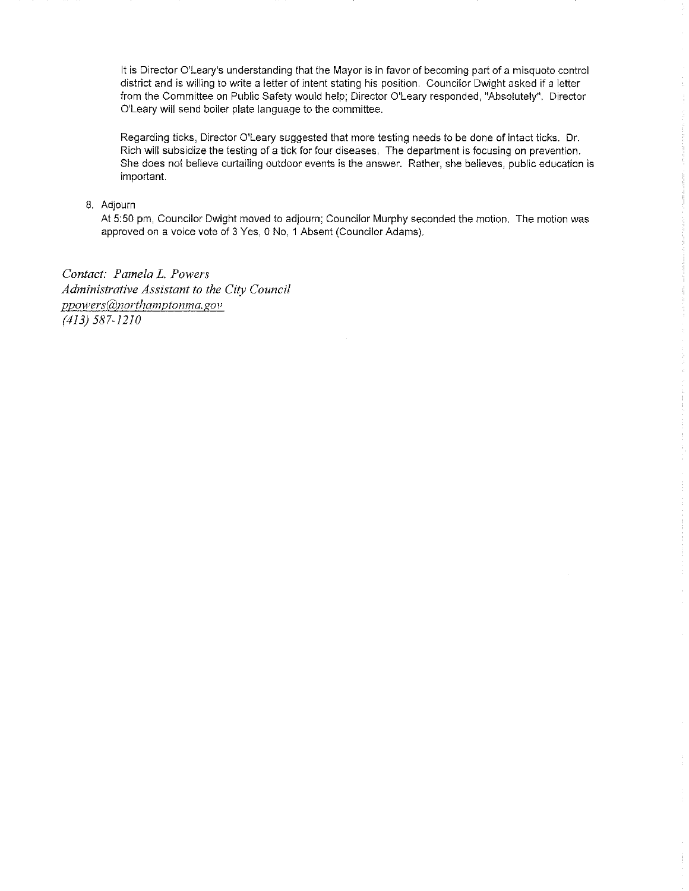It is Director O'Leary's understanding that the Mayor is in favor of becoming part of a misquoto control district and is willing to write a letter of intent stating his position. Councilor Dwight asked if a letter from the Committee on Public Safety would help; Director O'Leary responded, "Absolutely". Director O'Leary will send boiler plate language to the committee.

Regarding ticks, Director O'Leary suggested that more testing needs to be done of intact ticks. Dr. Rich will subsidize the testing of a tick for four diseases. The department is focusing on prevention. She does not believe curtailing outdoor events is the answer. Rather, she believes, public education is important.

#### 8. Adjourn

At 5:50 pm, Councilor Dwight moved to adjourn; Councilor Murphy seconded the motion. The motion was approved on a voice vote of 3 Yes, 0 No. 1 Absent (Councilor Adams).

Contact: Pamela L. Powers Administrative Assistant to the City Council ppowers@northamptonma.gov  $(413) 587 - 1210$